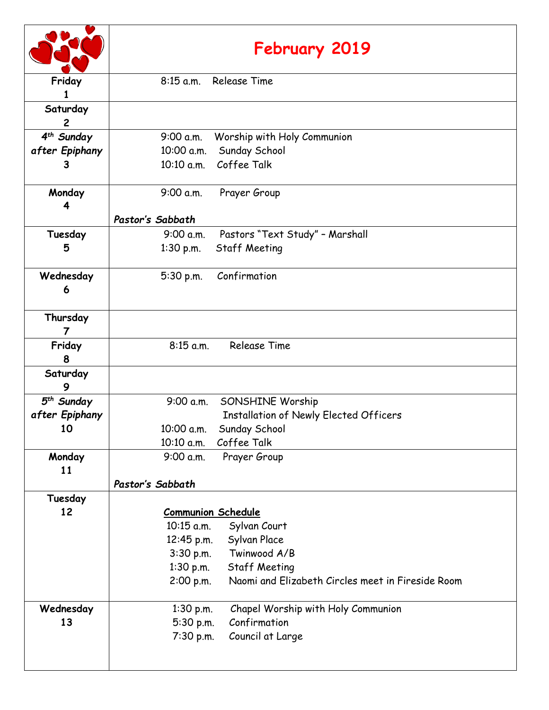|                            | February 2019                                                  |  |
|----------------------------|----------------------------------------------------------------|--|
| Friday                     | 8:15 a.m. Release Time                                         |  |
| Saturday<br>$\overline{c}$ |                                                                |  |
| 4 <sup>th</sup> Sunday     | Worship with Holy Communion<br>9:00 a.m.                       |  |
| after Epiphany             | Sunday School<br>10:00 a.m.                                    |  |
| 3                          | 10:10 a.m. Coffee Talk                                         |  |
| Monday<br>4                | 9:00 a.m.<br>Prayer Group                                      |  |
|                            | Pastor's Sabbath                                               |  |
| Tuesday                    | Pastors "Text Study" - Marshall<br>9:00 a.m.                   |  |
| 5                          | $1:30$ p.m.<br><b>Staff Meeting</b>                            |  |
| Wednesday<br>6             | Confirmation<br>5:30 p.m.                                      |  |
| Thursday                   |                                                                |  |
| Friday<br>8                | <b>Release Time</b><br>$8:15$ a.m.                             |  |
| Saturday<br>9              |                                                                |  |
| $5th$ Sunday               | 9:00 a.m.<br>SONSHINE Worship                                  |  |
| after Epiphany             | <b>Installation of Newly Elected Officers</b>                  |  |
| 10                         | 10:00 a.m.<br>Sunday School                                    |  |
|                            | Coffee Talk<br>10:10 a.m.                                      |  |
| Monday                     | 9:00 a.m.<br>Prayer Group                                      |  |
| 11                         | Pastor's Sabbath                                               |  |
| Tuesday                    |                                                                |  |
| 12                         | <b>Communion Schedule</b>                                      |  |
|                            | 10:15 a.m.<br>Sylvan Court                                     |  |
|                            | Sylvan Place<br>12:45 p.m.                                     |  |
|                            | Twinwood A/B<br>$3:30$ p.m.                                    |  |
|                            | <b>Staff Meeting</b><br>1:30 p.m.                              |  |
|                            | Naomi and Elizabeth Circles meet in Fireside Room<br>2:00 p.m. |  |
| Wednesday                  | Chapel Worship with Holy Communion<br>$1:30$ p.m.              |  |
| 13                         | Confirmation<br>5:30 p.m.                                      |  |
|                            | 7:30 p.m.<br>Council at Large                                  |  |